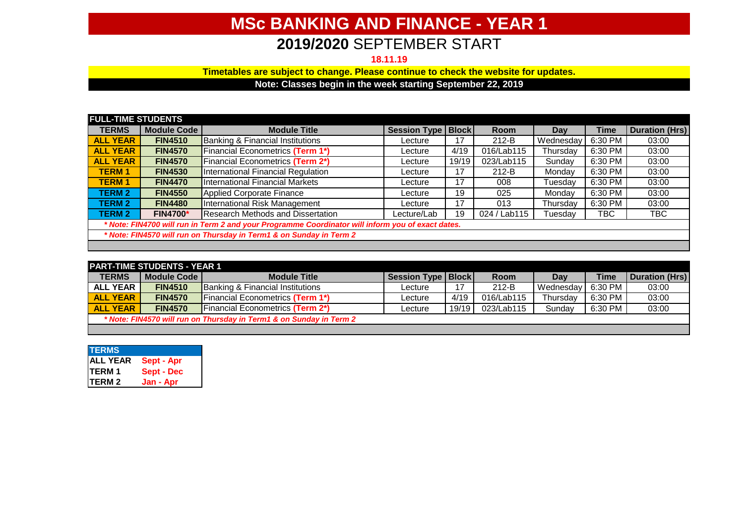## **MSc BANKING AND FINANCE - YEAR 1**

## **2019/2020** SEPTEMBER START

**18.11.19**

**Timetables are subject to change. Please continue to check the website for updates.**

**Note: Classes begin in the week starting September 22, 2019**

| <b>FULL-TIME STUDENTS</b>                                                                         |                    |                                         |                     |              |              |           |             |                       |
|---------------------------------------------------------------------------------------------------|--------------------|-----------------------------------------|---------------------|--------------|--------------|-----------|-------------|-----------------------|
| <b>TERMS</b>                                                                                      | <b>Module Code</b> | <b>Module Title</b>                     | <b>Session Type</b> | <b>Block</b> | <b>Room</b>  | Dav       | <b>Time</b> | <b>Duration (Hrs)</b> |
| <b>ALL YEAR</b>                                                                                   | <b>FIN4510</b>     | Banking & Financial Institutions        | Lecture             | 17           | $212-B$      | Wednesdav | 6:30 PM     | 03:00                 |
| <b>ALL YEAR</b>                                                                                   | <b>FIN4570</b>     | <b>Financial Econometrics (Term 1*)</b> | Lecture             | 4/19         | 016/Lab115   | Thursdav  | 6:30 PM     | 03:00                 |
| <b>ALL YEAR</b>                                                                                   | <b>FIN4570</b>     | <b>Financial Econometrics (Term 2*)</b> | Lecture             | 19/19        | 023/Lab115   | Sundav    | 6:30 PM     | 03:00                 |
| <b>TERM 1</b>                                                                                     | <b>FIN4530</b>     | International Financial Regulation      | Lecture             | 17           | $212-B$      | Mondav    | 6:30 PM     | 03:00                 |
| <b>TERM1</b>                                                                                      | <b>FIN4470</b>     | International Financial Markets         | Lecture             | 17           | 008          | Tuesday   | 6:30 PM     | 03:00                 |
| <b>TERM 2</b>                                                                                     | <b>FIN4550</b>     | Applied Corporate Finance               | Lecture             | 19           | 025          | Mondav    | 6:30 PM     | 03:00                 |
| <b>TERM 2</b>                                                                                     | <b>FIN4480</b>     | International Risk Management           | Lecture             | 17           | 013          | Thursday  | 6:30 PM     | 03:00                 |
| <b>TERM 2</b>                                                                                     | <b>FIN4700*</b>    | Research Methods and Dissertation       | Lecture/Lab         | 19           | 024 / Lab115 | Tuesday   | TBC         | твс                   |
| * Note: FIN4700 will run in Term 2 and your Programme Coordinator will inform you of exact dates. |                    |                                         |                     |              |              |           |             |                       |
| * Note: FIN4570 will run on Thursday in Term1 & on Sunday in Term 2                               |                    |                                         |                     |              |              |           |             |                       |
|                                                                                                   |                    |                                         |                     |              |              |           |             |                       |

| <b>PART-TIME STUDENTS - YEAR 1</b>                                  |                |                                             |                      |       |             |           |             |                       |
|---------------------------------------------------------------------|----------------|---------------------------------------------|----------------------|-------|-------------|-----------|-------------|-----------------------|
| <b>TERMS</b>                                                        | Module Code I  | <b>Module Title</b>                         | Session Type   Block |       | <b>Room</b> | Day       | <b>Time</b> | <b>Duration (Hrs)</b> |
| <b>ALL YEAR</b>                                                     | <b>FIN4510</b> | <b>Banking &amp; Financial Institutions</b> | Lecture              | -17   | $212-B$     | Wednesday | 6:30 PM     | 03:00                 |
| <b>ALL YEAR</b>                                                     | <b>FIN4570</b> | <b>IFinancial Econometrics (Term 1*)</b>    | Lecture              | 4/19  | 016/Lab115  | Thursdav  | 6:30 PM     | 03:00                 |
| <b>ALL YEAR</b>                                                     | <b>FIN4570</b> | <b>IFinancial Econometrics (Term 2*)</b>    | Lecture              | 19/19 | 023/Lab115  | Sundav    | 6:30 PM     | 03:00                 |
| * Note: FIN4570 will run on Thursday in Term1 & on Sunday in Term 2 |                |                                             |                      |       |             |           |             |                       |
|                                                                     |                |                                             |                      |       |             |           |             |                       |

| <b>TERMS</b>              |                   |
|---------------------------|-------------------|
| <b>ALL YEAR</b><br>TERM 1 | Sept - Apr        |
|                           | <b>Sept - Dec</b> |
| TERM <sub>2</sub>         | Jan - Apr         |